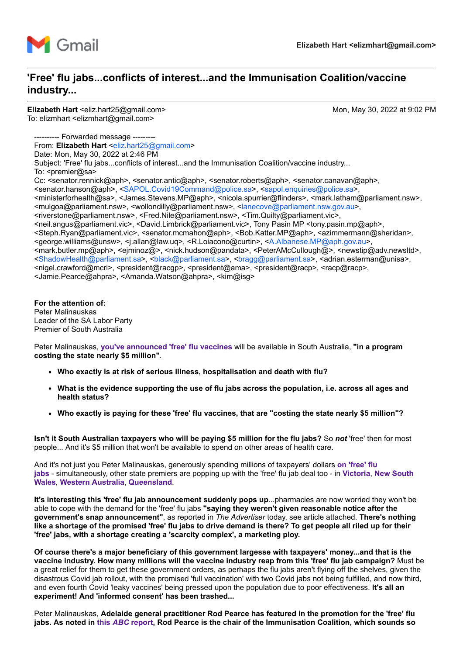

## **'Free' flu jabs...conflicts of interest...and the Immunisation Coalition/vaccine industry...**

**Elizabeth Hart** <eliz.hart25@gmail.com> Mon, May 30, 2022 at 9:02 PM To: elizmhart <elizmhart@gmail.com>

-- Forwarded message -----From: **Elizabeth Hart** [<eliz.hart25@gmail.com>](mailto:eliz.hart25@gmail.com) Date: Mon, May 30, 2022 at 2:46 PM Subject: 'Free' flu jabs...conflicts of interest...and the Immunisation Coalition/vaccine industry... To: <premier@sa> Cc: <senator.rennick@aph>, <senator.antic@aph>, <senator.roberts@aph>, <senator.canavan@aph>, <senator.hanson@aph>, <[SAPOL.Covid19Command@police.sa>](mailto:SAPOL.Covid19Command@police.sa), [<sapol.enquiries@police.sa](mailto:sapol.enquiries@police.sa)>, <ministerforhealth@sa>, <James.Stevens.MP@aph>, <nicola.spurrier@flinders>, <mark.latham@parliament.nsw>, <mulgoa@parliament.nsw>, <wollondilly@parliament.nsw>, <[lanecove@parliament.nsw.gov.au](mailto:lanecove@parliament.nsw.gov.au)>, <riverstone@parliament.nsw>, <Fred.Nile@parliament.nsw>, <Tim.Quilty@parliament.vic>, <neil.angus@parliament.vic>, <David.Limbrick@parliament.vic>, Tony Pasin MP <tony.pasin.mp@aph>, <Steph.Ryan@parliament.vic>, <senator.mcmahon@aph>, <Bob.Katter.MP@aph>, <azimmermann@sheridan>, <george.williams@unsw>, <j.allan@law.uq>, <R.Loiacono@curtin>, [<A.Albanese.MP@aph.gov.au>](mailto:A.Albanese.MP@aph.gov.au), <mark.butler.mp@aph>, <ejminoz@>, <nick.hudson@pandata>, <PeterAMcCullough@>, <newstip@adv.newsltd>, <[ShadowHealth@parliament.sa](mailto:ShadowHealth@parliament.sa)>, <[black@parliament.sa](mailto:black@parliament.sa)>, <[bragg@parliament.sa>](mailto:bragg@parliament.sa), <adrian.esterman@unisa>, <nigel.crawford@mcri>, <president@racgp>, <president@ama>, <president@racp>, <racp@racp>, <Jamie.Pearce@ahpra>, <Amanda.Watson@ahpra>, <kim@isg>

**For the attention of:** Peter Malinauskas Leader of the SA Labor Party Premier of South Australia

Peter Malinauskas, **[you've announced 'free' flu vaccines](https://www.9news.com.au/national/free-flu-jab-available-to-all-wa-and-sa-residents-in-june/f1964eea-ce58-4c4b-a50b-fc0b6cc118e4)** will be available in South Australia, **"in a program costing the state nearly \$5 million"**.

- **Who exactly is at risk of serious illness, hospitalisation and death with flu?**
- **What is the evidence supporting the use of flu jabs across the population, i.e. across all ages and health status?**
- **Who exactly is paying for these 'free' flu vaccines, that are "costing the state nearly \$5 million"?**

**Isn't it South Australian taxpayers who will be paying \$5 million for the flu jabs?** So *not* 'free' then for most people... And it's \$5 million that won't be available to spend on other areas of health care.

[And it's not just you Peter Malinauskas, generously spending millions of taxpayers' dollars](https://www.sahealth.sa.gov.au/wps/wcm/connect/public+content/sa+health+internet/conditions/immunisation/vaccines/flu+vaccine/flu+vaccine) **on 'free' flu jabs** - [simultaneously, other state premiers are popping up with the 'free' flu jab deal too - in](https://www.sbs.com.au/news/article/nsw-to-offer-free-flu-vaccinations-for-everyone-amid-a-sharp-increase-in-influenza-cases/6nmgl67l3) **[Victoria](https://7news.com.au/news/public-health/victorians-set-to-get-free-flu-vaccination-c-6984361)**, **New South Wales**, **[Western Australia](https://www.wa.gov.au/government/announcements/free-flu-vaccines-western-australians-june-blitz)**, **[Queensland](https://statements.qld.gov.au/statements/95201)**.

**It's interesting this 'free' flu jab announcement suddenly pops up**...pharmacies are now worried they won't be able to cope with the demand for the 'free' flu jabs **"saying they weren't given reasonable notice after the government's snap announcement"**, as reported in *The Advertiser* today, see article attached. **There's nothing like a shortage of the promised 'free' flu jabs to drive demand is there? To get people all riled up for their 'free' jabs, with a shortage creating a 'scarcity complex', a marketing ploy.**

**Of course there's a major beneficiary of this government largesse with taxpayers' money...and that is the vaccine industry. How many millions will the vaccine industry reap from this 'free' flu jab campaign?** Must be a great relief for them to get these government orders, as perhaps the flu jabs aren't flying off the shelves, given the disastrous Covid jab rollout, with the promised 'full vaccination' with two Covid jabs not being fulfilled, and now third, and even fourth Covid 'leaky vaccines' being pressed upon the population due to poor effectiveness. **It's all an experiment! And 'informed consent' has been trashed...**

Peter Malinauskas, **Adelaide general practitioner Rod Pearce has featured in the promotion for the 'free' flu jabs. As noted in this** *ABC* **[report,](https://www.abc.net.au/news/2022-05-29/sa-government-announces-free-flu-vaccinations/101108412) Rod Pearce is the chair of the Immunisation Coalition, which sounds so**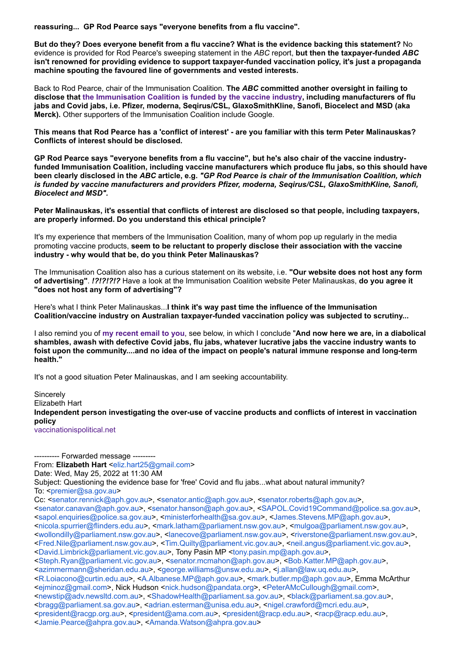**reassuring... GP Rod Pearce says "everyone benefits from a flu vaccine".**

**But do they? Does everyone benefit from a flu vaccine? What is the evidence backing this statement?** No evidence is provided for Rod Pearce's sweeping statement in the *ABC* report, **but then the taxpayer-funded** *ABC* **isn't renowned for providing evidence to support taxpayer-funded vaccination policy, it's just a propaganda machine spouting the favoured line of governments and vested interests.**

Back to Rod Pearce, chair of the Immunisation Coalition. **The** *ABC* **committed another oversight in failing to disclose that [the Immunisation Coalition is funded by the vaccine industry](https://www.immunisationcoalition.org.au/about-us/), including manufacturers of flu jabs and Covid jabs, i.e. Pfizer, moderna, Seqirus/CSL, GlaxoSmithKline, Sanofi, Biocelect and MSD (aka Merck).** Other supporters of the Immunisation Coalition include Google.

**This means that Rod Pearce has a 'conflict of interest' - are you familiar with this term Peter Malinauskas? Conflicts of interest should be disclosed.**

**GP Rod Pearce says "everyone benefits from a flu vaccine", but he's also chair of the vaccine industryfunded Immunisation Coalition, including vaccine manufacturers which produce flu jabs, so this should have been clearly disclosed in the** *ABC* **article, e.g.** *"GP Rod Pearce is chair of the Immunisation Coalition, which is funded by vaccine manufacturers and providers Pfizer, moderna, Seqirus/CSL, GlaxoSmithKline, Sanofi, Biocelect and MSD".*

**Peter Malinauskas, it's essential that conflicts of interest are disclosed so that people, including taxpayers, are properly informed. Do you understand this ethical principle?**

It's my experience that members of the Immunisation Coalition, many of whom pop up regularly in the media promoting vaccine products, **seem to be reluctant to properly disclose their association with the vaccine industry - why would that be, do you think Peter Malinauskas?**

The Immunisation Coalition also has a curious statement on its website, i.e. **"Our website does not host any form of advertising"**. *!?!?!?!?* Have a look at the Immunisation Coalition website Peter Malinauskas, **do you agree it "does not host any form of advertising"?**

Here's what I think Peter Malinauskas...**I think it's way past time the influence of the Immunisation Coalition/vaccine industry on Australian taxpayer-funded vaccination policy was subjected to scrutiny...**

I also remind you of **[my recent email to you](https://vaccinationispolitical.files.wordpress.com/2022/05/questioning-the-evidence-base-for-free-covid-and-flu-jabs...what-about-natural-immunity_-1.pdf)**, see below, in which I conclude "**And now here we are, in a diabolical shambles, awash with defective Covid jabs, flu jabs, whatever lucrative jabs the vaccine industry wants to foist upon the community....and no idea of the impact on people's natural immune response and long-term health."**

It's not a good situation Peter Malinauskas, and I am seeking accountability.

**Sincerely** Elizabeth Hart **Independent person investigating the over-use of vaccine products and conflicts of interest in vaccination policy** [vaccinationispolitical.net](http://vaccinationispolitical.net/)

---------- Forwarded message --------- From: **Elizabeth Hart** [<eliz.hart25@gmail.com>](mailto:eliz.hart25@gmail.com) Date: Wed, May 25, 2022 at 11:30 AM Subject: Questioning the evidence base for 'free' Covid and flu jabs...what about natural immunity? To: <[premier@sa.gov.au>](mailto:premier@sa.gov.au) Cc: [<senator.rennick@aph.gov.au](mailto:senator.rennick@aph.gov.au)>, <[senator.antic@aph.gov.au](mailto:senator.antic@aph.gov.au)>, <[senator.roberts@aph.gov.au>](mailto:senator.roberts@aph.gov.au), <[senator.canavan@aph.gov.au>](mailto:senator.canavan@aph.gov.au), <[senator.hanson@aph.gov.au](mailto:senator.hanson@aph.gov.au)>, <[SAPOL.Covid19Command@police.sa.gov.au](mailto:SAPOL.Covid19Command@police.sa.gov.au)>, <[sapol.enquiries@police.sa.gov.au>](mailto:sapol.enquiries@police.sa.gov.au), <[ministerforhealth@sa.gov.au](mailto:ministerforhealth@sa.gov.au)>, [<James.Stevens.MP@aph.gov.au](mailto:James.Stevens.MP@aph.gov.au)>, <[nicola.spurrier@flinders.edu.au>](mailto:nicola.spurrier@flinders.edu.au), <[mark.latham@parliament.nsw.gov.au](mailto:mark.latham@parliament.nsw.gov.au)>, <[mulgoa@parliament.nsw.gov.au>](mailto:mulgoa@parliament.nsw.gov.au), <[wollondilly@parliament.nsw.gov.au](mailto:wollondilly@parliament.nsw.gov.au)>, [<lanecove@parliament.nsw.gov.au](mailto:lanecove@parliament.nsw.gov.au)>, [<riverstone@parliament.nsw.gov.au](mailto:riverstone@parliament.nsw.gov.au)>, <[Fred.Nile@parliament.nsw.gov.au>](mailto:Fred.Nile@parliament.nsw.gov.au), [<Tim.Quilty@parliament.vic.gov.au](mailto:Tim.Quilty@parliament.vic.gov.au)>, <[neil.angus@parliament.vic.gov.au>](mailto:neil.angus@parliament.vic.gov.au), <[David.Limbrick@parliament.vic.gov.au>](mailto:David.Limbrick@parliament.vic.gov.au), Tony Pasin MP <[tony.pasin.mp@aph.gov.au](mailto:tony.pasin.mp@aph.gov.au)>, <[Steph.Ryan@parliament.vic.gov.au](mailto:Steph.Ryan@parliament.vic.gov.au)>, <[senator.mcmahon@aph.gov.au>](mailto:senator.mcmahon@aph.gov.au), [<Bob.Katter.MP@aph.gov.au>](mailto:Bob.Katter.MP@aph.gov.au), <[azimmermann@sheridan.edu.au](mailto:azimmermann@sheridan.edu.au)>, [<george.williams@unsw.edu.au](mailto:george.williams@unsw.edu.au)>, <[j.allan@law.uq.edu.au](mailto:j.allan@law.uq.edu.au)>, <[R.Loiacono@curtin.edu.au>](mailto:R.Loiacono@curtin.edu.au), [<A.Albanese.MP@aph.gov.au>](mailto:A.Albanese.MP@aph.gov.au), <[mark.butler.mp@aph.gov.au](mailto:mark.butler.mp@aph.gov.au)>, Emma McArthur <[ejminoz@gmail.com>](mailto:ejminoz@gmail.com), Nick Hudson <[nick.hudson@pandata.org](mailto:nick.hudson@pandata.org)>, [<PeterAMcCullough@gmail.com>](mailto:PeterAMcCullough@gmail.com), <[newstip@adv.newsltd.com.au](mailto:newstip@adv.newsltd.com.au)>, <[ShadowHealth@parliament.sa.gov.au](mailto:ShadowHealth@parliament.sa.gov.au)>, <[black@parliament.sa.gov.au](mailto:black@parliament.sa.gov.au)>, <[bragg@parliament.sa.gov.au>](mailto:bragg@parliament.sa.gov.au), [<adrian.esterman@unisa.edu.au>](mailto:adrian.esterman@unisa.edu.au), [<nigel.crawford@mcri.edu.au>](mailto:nigel.crawford@mcri.edu.au), <[president@racgp.org.au](mailto:president@racgp.org.au)>, <[president@ama.com.au>](mailto:president@ama.com.au), <[president@racp.edu.au>](mailto:president@racp.edu.au), [<racp@racp.edu.au](mailto:racp@racp.edu.au)>, <[Jamie.Pearce@ahpra.gov.au](mailto:Jamie.Pearce@ahpra.gov.au)>, <[Amanda.Watson@ahpra.gov.au](mailto:Amanda.Watson@ahpra.gov.au)>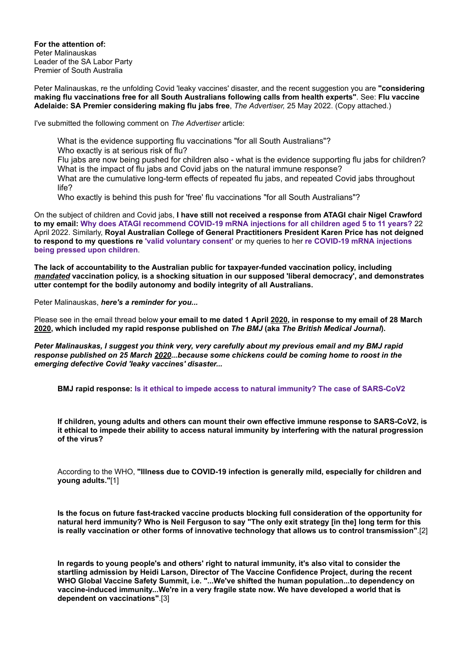**For the attention of:** Peter Malinauskas Leader of the SA Labor Party Premier of South Australia

Peter Malinauskas, re the unfolding Covid 'leaky vaccines' disaster, and the recent suggestion you are **"considering making flu vaccinations free for all South Australians following calls from health experts"**. See: **Flu vaccine Adelaide: SA Premier considering making flu jabs free**, *The Advertiser,* 25 May 2022. (Copy attached.)

I've submitted the following comment on *The Advertiser* article:

What is the evidence supporting flu vaccinations "for all South Australians"? Who exactly is at serious risk of flu? Flu jabs are now being pushed for children also - what is the evidence supporting flu jabs for children? What is the impact of flu jabs and Covid jabs on the natural immune response? What are the cumulative long-term effects of repeated flu jabs, and repeated Covid jabs throughout life?

Who exactly is behind this push for 'free' flu vaccinations "for all South Australians"?

On the subject of children and Covid jabs, **I have still not received a response from ATAGI chair Nigel Crawford to my email: [Why does ATAGI recommend COVID-19 mRNA injections for all children aged 5 to 11 years?](https://vaccinationispolitical.files.wordpress.com/2022/04/why-does-atagi-recommend-covid-19-mrna-injections-for-all-children-aged-5-to-11-years.pdf)** 22 April 2022. Similarly, **Royal Australian College of General Practitioners President Karen Price has not deigned [to respond to my questions re](https://vaccinationispolitical.files.wordpress.com/2022/05/why-does-atagi-recommend-covid-19-mrna-injections-for-all-children-aged-5-to-11-years_-email-to-karen-price-president-of-the-racgp.pdf) ['valid voluntary consent'](https://vaccinationispolitical.files.wordpress.com/2022/03/covid-19-jab-mandates-overriding-valid-voluntary-consent-email-to-the-president-of-the-royal-australian-college-of-general-practitioners.pdf)** or my queries to her **re COVID-19 mRNA injections being pressed upon children**.

**The lack of accountability to the Australian public for taxpayer-funded vaccination policy, including** *mandated* **vaccination policy, is a shocking situation in our supposed 'liberal democracy', and demonstrates utter contempt for the bodily autonomy and bodily integrity of all Australians.**

Peter Malinauskas, *here's a reminder for you...*

Please see in the email thread below **your email to me dated 1 April 2020, in response to my email of 28 March 2020, which included my rapid response published on** *The BMJ* **(aka** *The British Medical Journal***).**

*Peter Malinauskas, I suggest you think very, very carefully about my previous email and my BMJ rapid response published on 25 March 2020...because some chickens could be coming home to roost in the emerging defective Covid 'leaky vaccines' disaster...*

**BMJ rapid response: [Is it ethical to impede access to natural immunity? The case of SARS-CoV2](https://www.bmj.com/content/368/bmj.m1089/rr-6)**

**If children, young adults and others can mount their own effective immune response to SARS-CoV2, is it ethical to impede their ability to access natural immunity by interfering with the natural progression of the virus?**

According to the WHO, **"Illness due to COVID-19 infection is generally mild, especially for children and young adults."**[1]

**Is the focus on future fast-tracked vaccine products blocking full consideration of the opportunity for natural herd immunity? Who is Neil Ferguson to say "The only exit strategy [in the] long term for this is really vaccination or other forms of innovative technology that allows us to control transmission"**.[2]

**In regards to young people's and others' right to natural immunity, it's also vital to consider the startling admission by Heidi Larson, Director of The Vaccine Confidence Project, during the recent WHO Global Vaccine Safety Summit, i.e. "...We've shifted the human population...to dependency on vaccine-induced immunity...We're in a very fragile state now. We have developed a world that is dependent on vaccinations"**.[3]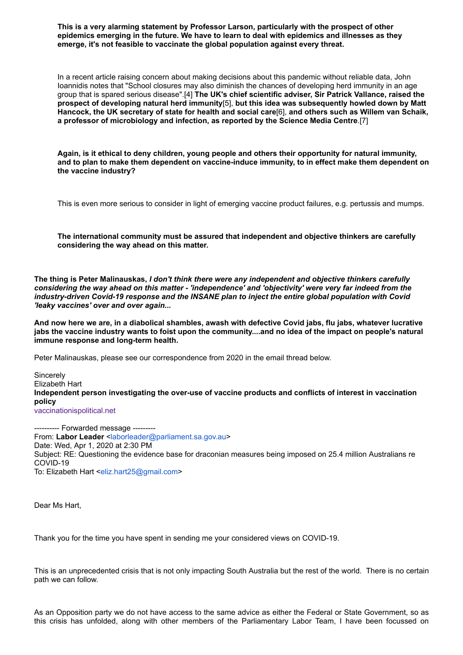**This is a very alarming statement by Professor Larson, particularly with the prospect of other epidemics emerging in the future. We have to learn to deal with epidemics and illnesses as they emerge, it's not feasible to vaccinate the global population against every threat.**

In a recent article raising concern about making decisions about this pandemic without reliable data, John Ioannidis notes that "School closures may also diminish the chances of developing herd immunity in an age group that is spared serious disease".[4] **The UK's chief scientific adviser, Sir Patrick Vallance, raised the prospect of developing natural herd immunity**[5], **but this idea was subsequently howled down by Matt Hancock, the UK secretary of state for health and social care**[6], **and others such as Willem van Schaik, a professor of microbiology and infection, as reported by the Science Media Centre**.[7]

**Again, is it ethical to deny children, young people and others their opportunity for natural immunity, and to plan to make them dependent on vaccine-induce immunity, to in effect make them dependent on the vaccine industry?**

This is even more serious to consider in light of emerging vaccine product failures, e.g. pertussis and mumps.

**The international community must be assured that independent and objective thinkers are carefully considering the way ahead on this matter.**

**The thing is Peter Malinauskas,** *I don't think there were any independent and objective thinkers carefully considering the way ahead on this matter - 'independence' and 'objectivity' were very far indeed from the industry-driven Covid-19 response and the INSANE plan to inject the entire global population with Covid 'leaky vaccines' over and over again...*

**And now here we are, in a diabolical shambles, awash with defective Covid jabs, flu jabs, whatever lucrative jabs the vaccine industry wants to foist upon the community....and no idea of the impact on people's natural immune response and long-term health.**

Peter Malinauskas, please see our correspondence from 2020 in the email thread below.

**Sincerely** Elizabeth Hart **Independent person investigating the over-use of vaccine products and conflicts of interest in vaccination policy** [vaccinationispolitical.net](http://vaccinationispolitical.net/)

---------- Forwarded message --------- From: Labor Leader [<laborleader@parliament.sa.gov.au>](mailto:laborleader@parliament.sa.gov.au) Date: Wed, Apr 1, 2020 at 2:30 PM Subject: RE: Questioning the evidence base for draconian measures being imposed on 25.4 million Australians re COVID-19 To: Elizabeth Hart <[eliz.hart25@gmail.com>](mailto:eliz.hart25@gmail.com)

Dear Ms Hart,

Thank you for the time you have spent in sending me your considered views on COVID-19.

This is an unprecedented crisis that is not only impacting South Australia but the rest of the world. There is no certain path we can follow.

As an Opposition party we do not have access to the same advice as either the Federal or State Government, so as this crisis has unfolded, along with other members of the Parliamentary Labor Team, I have been focussed on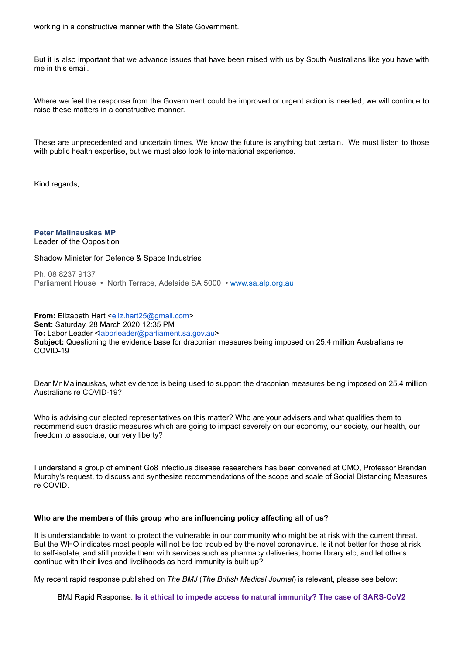But it is also important that we advance issues that have been raised with us by South Australians like you have with me in this email.

Where we feel the response from the Government could be improved or urgent action is needed, we will continue to raise these matters in a constructive manner.

These are unprecedented and uncertain times. We know the future is anything but certain. We must listen to those with public health expertise, but we must also look to international experience.

Kind regards,

**Peter Malinauskas MP** Leader of the Opposition

## Shadow Minister for Defence & Space Industries

Ph. 08 8237 9137 Parliament House **•** North Terrace, Adelaide SA 5000 **•** [www.sa.alp.org.au](http://www.sa.alp.org.au/)

**From:** Elizabeth Hart <[eliz.hart25@gmail.com>](mailto:eliz.hart25@gmail.com) **Sent:** Saturday, 28 March 2020 12:35 PM To: Labor Leader [<laborleader@parliament.sa.gov.au](mailto:laborleader@parliament.sa.gov.au)> **Subject:** Questioning the evidence base for draconian measures being imposed on 25.4 million Australians re COVID-19

Dear Mr Malinauskas, what evidence is being used to support the draconian measures being imposed on 25.4 million Australians re COVID-19?

Who is advising our elected representatives on this matter? Who are your advisers and what qualifies them to recommend such drastic measures which are going to impact severely on our economy, our society, our health, our freedom to associate, our very liberty?

I understand a group of eminent Go8 infectious disease researchers has been convened at CMO, Professor Brendan Murphy's request, to discuss and synthesize recommendations of the scope and scale of Social Distancing Measures re COVID.

## **Who are the members of this group who are influencing policy affecting all of us?**

It is understandable to want to protect the vulnerable in our community who might be at risk with the current threat. But the WHO indicates most people will not be too troubled by the novel coronavirus. Is it not better for those at risk to self-isolate, and still provide them with services such as pharmacy deliveries, home library etc, and let others continue with their lives and livelihoods as herd immunity is built up?

My recent rapid response published on *The BMJ* (*The British Medical Journal*) is relevant, please see below:

BMJ Rapid Response: **Is [it ethical to impede access to natural immunity? The case of SARS-CoV2](https://aus01.safelinks.protection.outlook.com/?url=https%3A%2F%2Fwww.bmj.com%2Fcontent%2F368%2Fbmj.m1089%2Frr-6&data=02%7C01%7Claborleader%40parliament.sa.gov.au%7C6ca610a48ef740f34cef08d7d2bc78e4%7C694c9d7eafe6477eaa742b8fc75d86e8%7C0%7C0%7C637209579243473159&sdata=o3Z8ATX9p8hbHzfz63XW6fZnrO73M%2FK75GDIqzp7cws%3D&reserved=0)**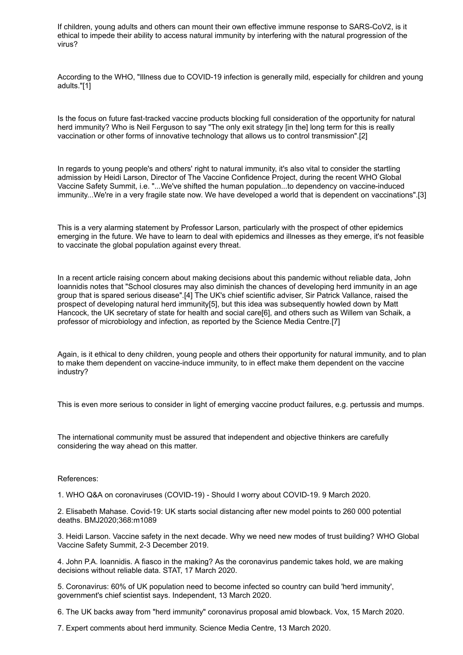If children, young adults and others can mount their own effective immune response to SARS-CoV2, is it ethical to impede their ability to access natural immunity by interfering with the natural progression of the virus?

According to the WHO, "Illness due to COVID-19 infection is generally mild, especially for children and young adults."[1]

Is the focus on future fast-tracked vaccine products blocking full consideration of the opportunity for natural herd immunity? Who is Neil Ferguson to say "The only exit strategy [in the] long term for this is really vaccination or other forms of innovative technology that allows us to control transmission".[2]

In regards to young people's and others' right to natural immunity, it's also vital to consider the startling admission by Heidi Larson, Director of The Vaccine Confidence Project, during the recent WHO Global Vaccine Safety Summit, i.e. "...We've shifted the human population...to dependency on vaccine-induced immunity...We're in a very fragile state now. We have developed a world that is dependent on vaccinations".[3]

This is a very alarming statement by Professor Larson, particularly with the prospect of other epidemics emerging in the future. We have to learn to deal with epidemics and illnesses as they emerge, it's not feasible to vaccinate the global population against every threat.

In a recent article raising concern about making decisions about this pandemic without reliable data, John Ioannidis notes that "School closures may also diminish the chances of developing herd immunity in an age group that is spared serious disease".[4] The UK's chief scientific adviser, Sir Patrick Vallance, raised the prospect of developing natural herd immunity[5], but this idea was subsequently howled down by Matt Hancock, the UK secretary of state for health and social care[6], and others such as Willem van Schaik, a professor of microbiology and infection, as reported by the Science Media Centre.[7]

Again, is it ethical to deny children, young people and others their opportunity for natural immunity, and to plan to make them dependent on vaccine-induce immunity, to in effect make them dependent on the vaccine industry?

This is even more serious to consider in light of emerging vaccine product failures, e.g. pertussis and mumps.

The international community must be assured that independent and objective thinkers are carefully considering the way ahead on this matter.

References:

1. WHO Q&A on coronaviruses (COVID-19) - Should I worry about COVID-19. 9 March 2020.

2. Elisabeth Mahase. Covid-19: UK starts social distancing after new model points to 260 000 potential deaths. BMJ2020;368:m1089

3. Heidi Larson. Vaccine safety in the next decade. Why we need new modes of trust building? WHO Global Vaccine Safety Summit, 2-3 December 2019.

4. John P.A. Ioannidis. A fiasco in the making? As the coronavirus pandemic takes hold, we are making decisions without reliable data. STAT, 17 March 2020.

5. Coronavirus: 60% of UK population need to become infected so country can build 'herd immunity', government's chief scientist says. Independent, 13 March 2020.

6. The UK backs away from "herd immunity" coronavirus proposal amid blowback. Vox, 15 March 2020.

7. Expert comments about herd immunity. Science Media Centre, 13 March 2020.